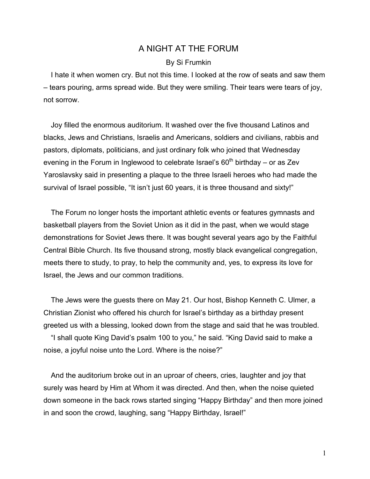## A NIGHT AT THE FORUM

## By Si Frumkin

I hate it when women cry. But not this time. I looked at the row of seats and saw them – tears pouring, arms spread wide. But they were smiling. Their tears were tears of joy, not sorrow.

Joy filled the enormous auditorium. It washed over the five thousand Latinos and blacks, Jews and Christians, Israelis and Americans, soldiers and civilians, rabbis and pastors, diplomats, politicians, and just ordinary folk who joined that Wednesday evening in the Forum in Inglewood to celebrate Israel's  $60<sup>th</sup>$  birthday – or as Zev Yaroslavsky said in presenting a plaque to the three Israeli heroes who had made the survival of Israel possible, "It isn't just 60 years, it is three thousand and sixty!"

The Forum no longer hosts the important athletic events or features gymnasts and basketball players from the Soviet Union as it did in the past, when we would stage demonstrations for Soviet Jews there. It was bought several years ago by the Faithful Central Bible Church. Its five thousand strong, mostly black evangelical congregation, meets there to study, to pray, to help the community and, yes, to express its love for Israel, the Jews and our common traditions.

The Jews were the guests there on May 21. Our host, Bishop Kenneth C. Ulmer, a Christian Zionist who offered his church for Israel's birthday as a birthday present greeted us with a blessing, looked down from the stage and said that he was troubled.

"I shall quote King David's psalm 100 to you," he said. "King David said to make a noise, a joyful noise unto the Lord. Where is the noise?"

And the auditorium broke out in an uproar of cheers, cries, laughter and joy that surely was heard by Him at Whom it was directed. And then, when the noise quieted down someone in the back rows started singing "Happy Birthday" and then more joined in and soon the crowd, laughing, sang "Happy Birthday, Israel!"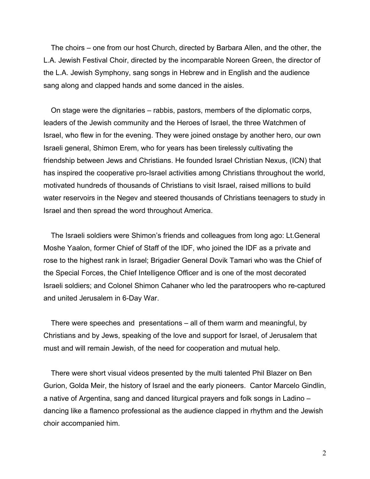The choirs – one from our host Church, directed by Barbara Allen, and the other, the L.A. Jewish Festival Choir, directed by the incomparable Noreen Green, the director of the L.A. Jewish Symphony, sang songs in Hebrew and in English and the audience sang along and clapped hands and some danced in the aisles.

On stage were the dignitaries – rabbis, pastors, members of the diplomatic corps, leaders of the Jewish community and the Heroes of Israel, the three Watchmen of Israel, who flew in for the evening. They were joined onstage by another hero, our own Israeli general, Shimon Erem, who for years has been tirelessly cultivating the friendship between Jews and Christians. He founded Israel Christian Nexus, (ICN) that has inspired the cooperative pro-Israel activities among Christians throughout the world, motivated hundreds of thousands of Christians to visit Israel, raised millions to build water reservoirs in the Negev and steered thousands of Christians teenagers to study in Israel and then spread the word throughout America.

The Israeli soldiers were Shimon's friends and colleagues from long ago: Lt.General Moshe Yaalon, former Chief of Staff of the IDF, who joined the IDF as a private and rose to the highest rank in Israel; Brigadier General Dovik Tamari who was the Chief of the Special Forces, the Chief Intelligence Officer and is one of the most decorated Israeli soldiers; and Colonel Shimon Cahaner who led the paratroopers who re-captured and united Jerusalem in 6-Day War.

There were speeches and presentations – all of them warm and meaningful, by Christians and by Jews, speaking of the love and support for Israel, of Jerusalem that must and will remain Jewish, of the need for cooperation and mutual help.

There were short visual videos presented by the multi talented Phil Blazer on Ben Gurion, Golda Meir, the history of Israel and the early pioneers. Cantor Marcelo Gindlin, a native of Argentina, sang and danced liturgical prayers and folk songs in Ladino – dancing like a flamenco professional as the audience clapped in rhythm and the Jewish choir accompanied him.